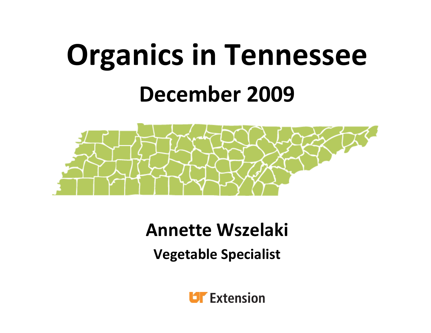# **Organics in Tennessee December 2009**



#### **Annette Wszelaki**

**Vegetable Specialist**

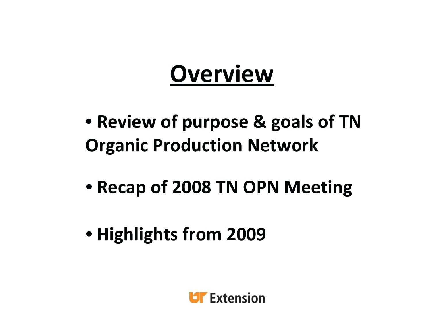#### **Overview**

- **Review of purpose & goals of TN Organic Production Network**
- **Recap of 2008 TN OPN Meeting**
- **Highlights from 2009**

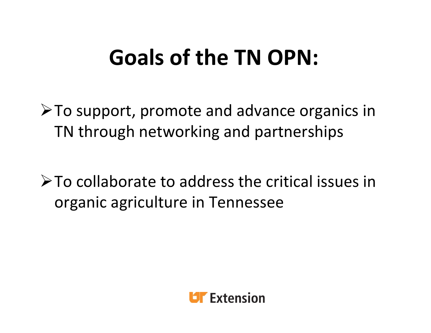#### **Goals of the TN OPN:**

¾To support, promote and advance organics in TN through networking and partnerships

¾To collaborate to address the critical issues in organic agriculture in Tennessee

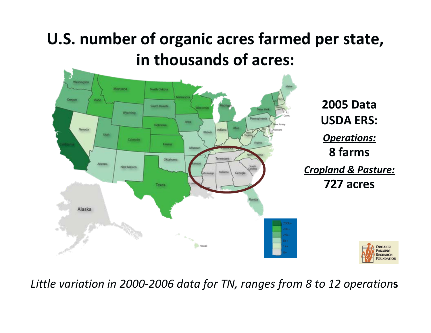#### **U.S. number of organic acres farmed per state, in thousands of acres:**



**2005 Data USDA ERS:** *Operations:* **8 farms** *Cropland & Pasture:*

**727 acres**



*Little variation in 2000‐2006 data for TN, ranges from 8 to 12 operation***<sup>s</sup>**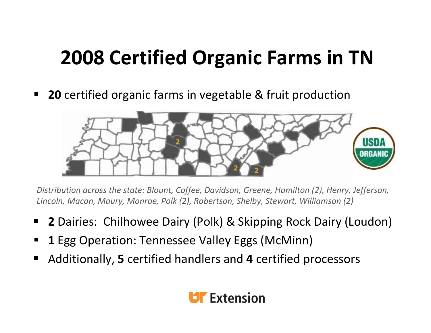#### **2008 Certified Organic Farms in TN**

 $\blacksquare$ **20** certified organic farms in vegetable & fruit production



*Distribution across the state: Blount, Coffee, Davidson, Greene, Hamilton (2), Henry, Jefferson, Lincoln, Macon, Maury, Monroe, Polk (2), Robertson, Shelby, Stewart, Williamson (2)*

- ٠ **2** Dairies: Chilhowee Dairy (Polk) & Skipping Rock Dairy (Loudon)
- E **1 1** Egg Operation: Tennessee Valley Eggs (McMinn)
- ٠ Additionally, **5** certified handlers and **4** certified processors

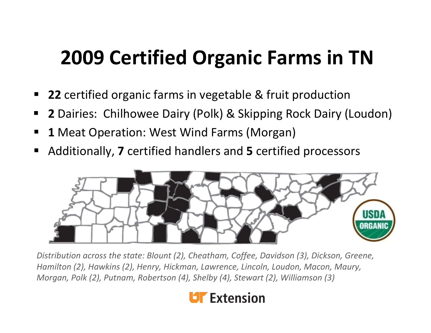#### **2009 Certified Organic Farms in TN**

- $\blacksquare$ **22** certified organic farms in vegetable & fruit production
- ٠ **2** Dairies: Chilhowee Dairy (Polk) & Skipping Rock Dairy (Loudon)
- E **1** Meat Operation: West Wind Farms (Morgan)
- E Additionally, **7** certified handlers and **5** certified processors



*Distribution across the state: Blount (2), Cheatham, Coffee, Davidson (3), Dickson, Greene, Hamilton (2), Hawkins (2), Henry, Hickman, Lawrence, Lincoln, Loudon, Macon, Maury, Morgan, Polk (2), Putnam, Robertson (4), Shelby (4), Stewart (2), Williamson (3)*

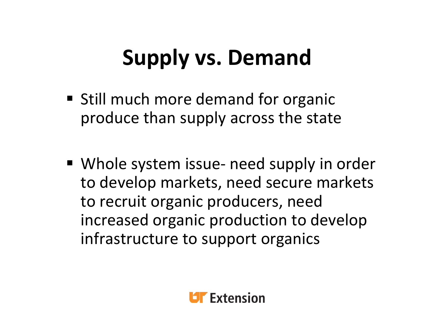### **Supply vs. Demand**

- **Still much more demand for organic** produce than supply across the state
- Whole system issue- need supply in order to develop markets, need secure markets to recruit organic producers, need increased organic production to develop infrastructure to support organics

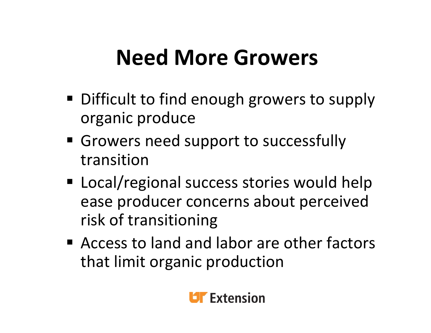#### **Need More Growers**

- **Difficult to find enough growers to supply** organic produce
- **Growers need support to successfully** transition
- **EXTED Local/regional success stories would help** ease producer concerns about perceived risk of transitioning
- Access to land and labor are other factors that limit organic production

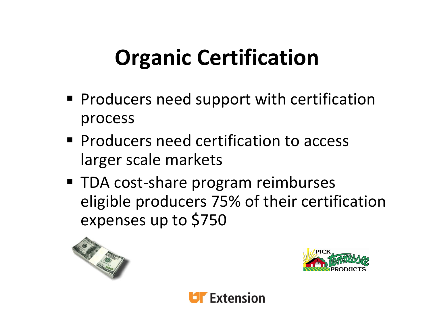## **Organic Certification**

- **Producers need support with certification** process
- **Producers need certification to access** larger scale markets
- TDA cost-share program reimburses eligible producers 75% of their certification expenses up to \$750





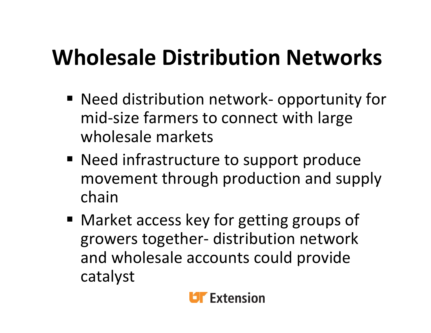### **Wholesale Distribution Networks**

- Need distribution network- opportunity for mid‐size farmers to connect with large wholesale markets
- **Need infrastructure to support produce** movement through production and supply chain
- Market access key for getting groups of growers together‐ distribution network and wholesale accounts could provide catalyst

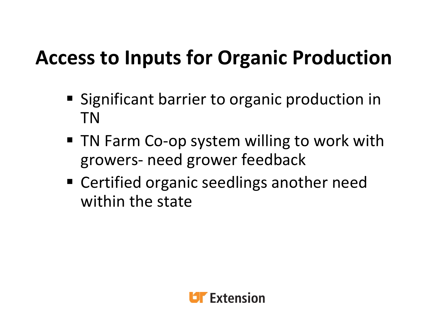#### **Access to Inputs for Organic Production**

- **Significant barrier to organic production in** TN
- TN Farm Co-op system willing to work with growers‐ need grower feedback
- Certified organic seedlings another need within the state

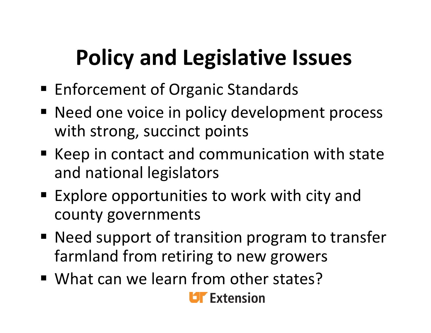## **Policy and Legislative Issues**

- **Enforcement of Organic Standards**
- **Need one voice in policy development process** with strong, succinct points
- Keep in contact and communication with state and national legislators
- Explore opportunities to work with city and county governments
- Need support of transition program to transfer farmland from retiring to new growers
- What can we learn from other states?

**Dr** Extension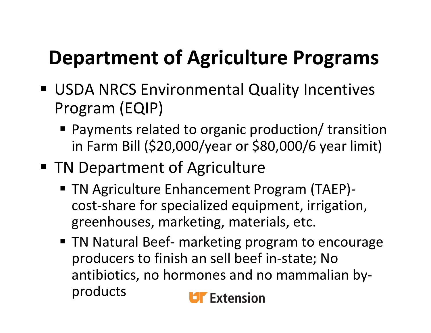#### **Department of Agriculture Programs**

- USDA NRCS Environmental Quality Incentives Program (EQIP)
	- Payments related to organic production/ transition in Farm Bill (\$20,000/year or \$80,000/6 year limit)
- **TN Department of Agriculture** 
	- TN Agriculture Enhancement Program (TAEP)cost‐share for specialized equipment, irrigation, greenhouses, marketing, materials, etc.
	- TN Natural Beef- marketing program to encourage producers to finish an sell beef in‐state; No antibiotics, no hormones and no mammalian by‐ products

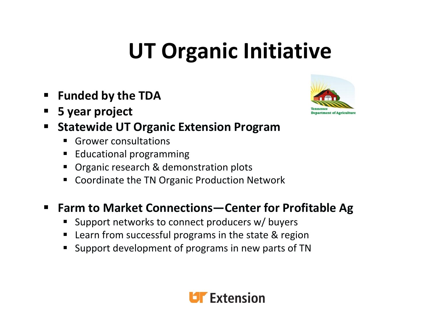## **UT Organic Initiative**

- E **Funded by the TDA**
- п **5 year project**



- E **Statewide UT Organic Extension Program**
	- П Grower consultations
	- П Educational programming
	- П Organic research & demonstration plots
	- П ■ Coordinate the TN Organic Production Network

#### $\blacksquare$ **Farm to Market Connections—Center for Profitable Ag**

- п Support networks to connect producers w/ buyers
- П ■ Learn from successful programs in the state & region
- П Support development of programs in new parts of TN

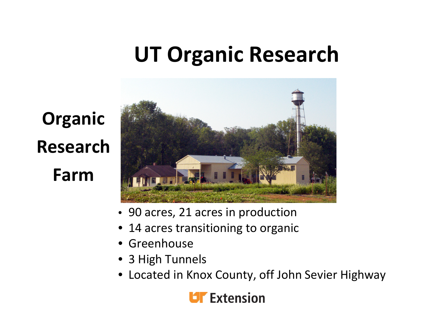#### **UT Organic Research**

# **Organic ResearchFarm**



- 90 acres, 21 acres in production
- •14 acres transitioning to organic
- •Greenhouse
- 3 High Tunnels
- Located in Knox County, off John Sevier Highway

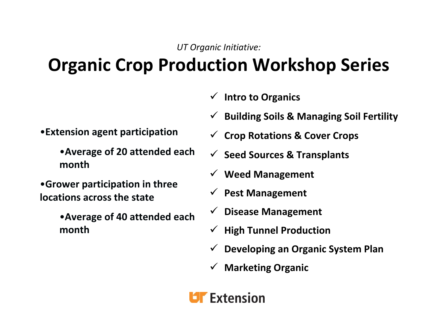*UT Organic Initiative:*

#### **Organic Crop Production Workshop Series**

- 9 **Intro to Organics**
- $\sqrt{ }$ **Building Soils & Managing Soil Fertility**

- •**Extension agent participation**
	- •**Average of 20 attended each month**
- •**Grower participation in three locations across the state**
	- •**Average of 40 attended each month**
- 9 **Crop Rotations & Cover Crops**
- 9 **Seed Sources & Transplants**
- 9 **Weed Management**
- 9 **Pest Management**
- 9 **Disease Management**
- 9 **High Tunnel Production**
- 9 **Developing an Organic System Plan**
- 9 **Marketing Organic**

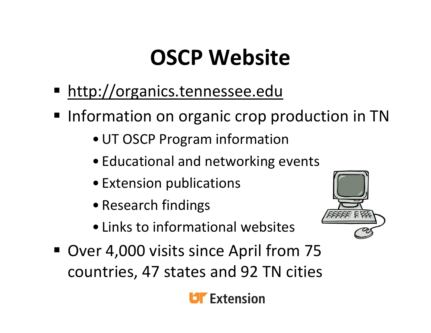#### **OSCP Website**

- **http://organics.tennessee.edu**
- **Information on organic crop production in TN** 
	- •UT OSCP Program information
	- Educational and networking events
	- Extension publications
	- Research findings
	- Links to informational websites



■ Over 4,000 visits since April from 75 countries, 47 states and 92 TN cities

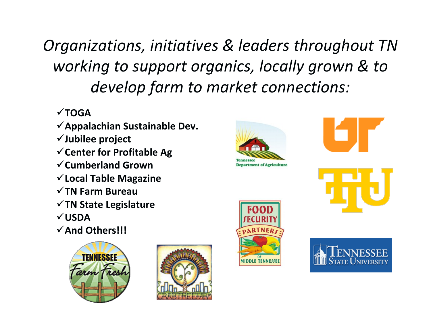*Organizations, initiatives & leaders throughout TN working to support organics, locally grown & to develop farm to market connections:*

#### **TOGA**

- **Appalachian Sustainable Dev.**
- **Jubilee project**
- **Center for Profitable Ag**
- **Cumberland Grown**
- **Local Table Magazine**
- **TN Farm Bureau**
- **TN State Legislature**
- **USDA**
- **And Others!!!**











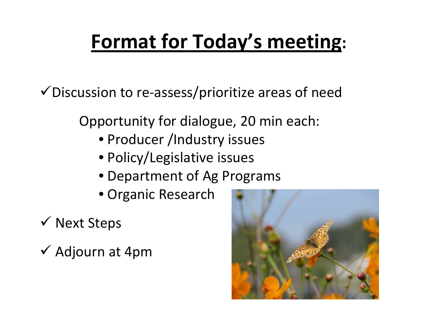#### **Format for Today's meeting:**

 $\checkmark$  Discussion to re-assess/prioritize areas of need

Opportunity for dialogue, 20 min each:

- Producer /Industry issues
- Policy/Legislative issues
- Department of Ag Programs
- Organic Research
- $\checkmark$  Next Steps
- $\checkmark$  Adjourn at 4pm